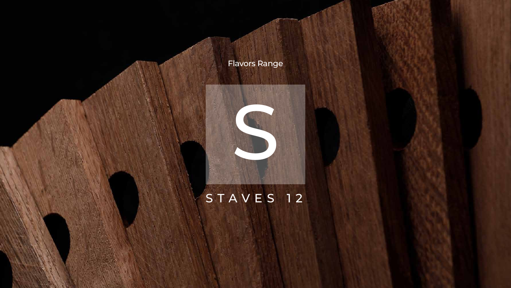

## S T A V E S 12



## Flavors Range